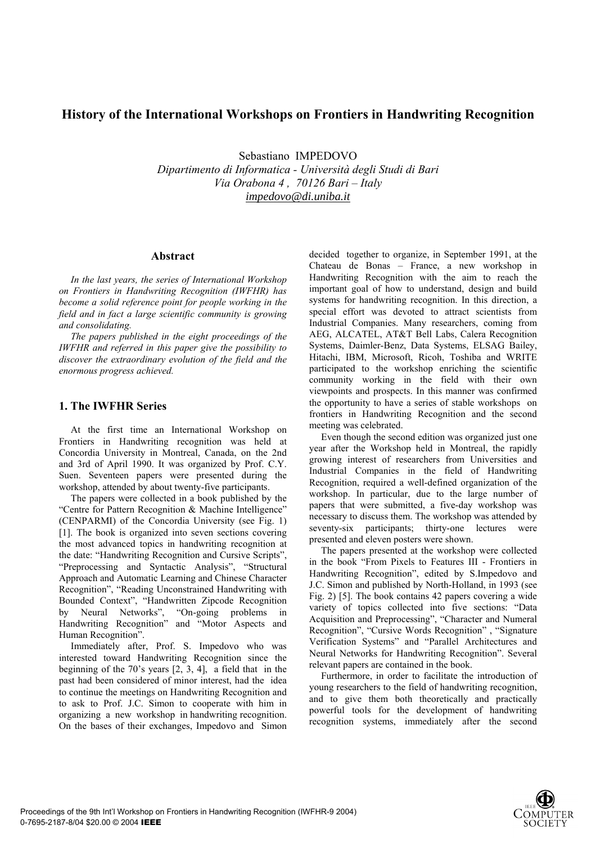# **History of the International Workshops on Frontiers in Handwriting Recognition**

Sebastiano IMPEDOVO

*Dipartimento di Informatica - Università degli Studi di Bari Via Orabona 4 , 70126 Bari – Italy impedovo@di.uniba.it*

### **Abstract**

*In the last years, the series of International Workshop on Frontiers in Handwriting Recognition (IWFHR) has become a solid reference point for people working in the field and in fact a large scientific community is growing and consolidating.* 

*The papers published in the eight proceedings of the IWFHR and referred in this paper give the possibility to discover the extraordinary evolution of the field and the enormous progress achieved.* 

## **1. The IWFHR Series**

At the first time an International Workshop on Frontiers in Handwriting recognition was held at Concordia University in Montreal, Canada, on the 2nd and 3rd of April 1990. It was organized by Prof. C.Y. Suen. Seventeen papers were presented during the workshop, attended by about twenty-five participants.

The papers were collected in a book published by the "Centre for Pattern Recognition & Machine Intelligence" (CENPARMI) of the Concordia University (see Fig. 1) [1]. The book is organized into seven sections covering the most advanced topics in handwriting recognition at the date: "Handwriting Recognition and Cursive Scripts", "Preprocessing and Syntactic Analysis", "Structural Approach and Automatic Learning and Chinese Character Recognition", "Reading Unconstrained Handwriting with Bounded Context", "Handwritten Zipcode Recognition by Neural Networks", "On-going problems in Handwriting Recognition" and "Motor Aspects and Human Recognition".

Immediately after, Prof. S. Impedovo who was interested toward Handwriting Recognition since the beginning of the 70's years [2, 3, 4], a field that in the past had been considered of minor interest, had the idea to continue the meetings on Handwriting Recognition and to ask to Prof. J.C. Simon to cooperate with him in organizing a new workshop in handwriting recognition. On the bases of their exchanges, Impedovo and Simon decided together to organize, in September 1991, at the Chateau de Bonas – France, a new workshop in Handwriting Recognition with the aim to reach the important goal of how to understand, design and build systems for handwriting recognition. In this direction, a special effort was devoted to attract scientists from Industrial Companies. Many researchers, coming from AEG, ALCATEL, AT&T Bell Labs, Calera Recognition Systems, Daimler-Benz, Data Systems, ELSAG Bailey, Hitachi, IBM, Microsoft, Ricoh, Toshiba and WRITE participated to the workshop enriching the scientific community working in the field with their own viewpoints and prospects. In this manner was confirmed the opportunity to have a series of stable workshops on frontiers in Handwriting Recognition and the second meeting was celebrated.

Even though the second edition was organized just one year after the Workshop held in Montreal, the rapidly growing interest of researchers from Universities and Industrial Companies in the field of Handwriting Recognition, required a well-defined organization of the workshop. In particular, due to the large number of papers that were submitted, a five-day workshop was necessary to discuss them. The workshop was attended by seventy-six participants; thirty-one lectures were presented and eleven posters were shown.

The papers presented at the workshop were collected in the book "From Pixels to Features III - Frontiers in Handwriting Recognition", edited by S.Impedovo and J.C. Simon and published by North-Holland, in 1993 (see Fig. 2) [5]. The book contains 42 papers covering a wide variety of topics collected into five sections: "Data Acquisition and Preprocessing", "Character and Numeral Recognition", "Cursive Words Recognition" , "Signature Verification Systems" and "Parallel Architectures and Neural Networks for Handwriting Recognition". Several relevant papers are contained in the book.

Furthermore, in order to facilitate the introduction of young researchers to the field of handwriting recognition, and to give them both theoretically and practically powerful tools for the development of handwriting recognition systems, immediately after the second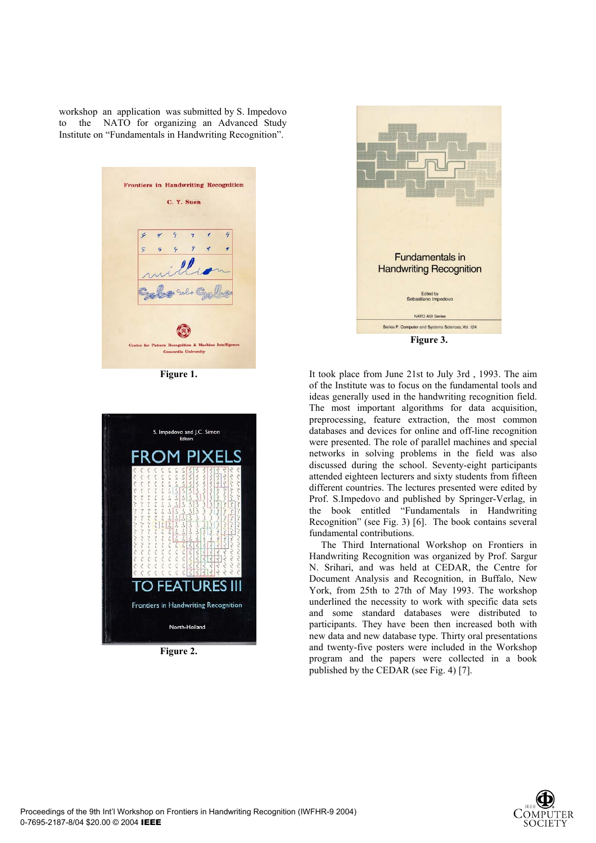workshop an application was submitted by S. Impedovo to the NATO for organizing an Advanced Study Institute on "Fundamentals in Handwriting Recognition".



**Figure 1.** 



**Figure 2.**



It took place from June 21st to July 3rd , 1993. The aim of the Institute was to focus on the fundamental tools and ideas generally used in the handwriting recognition field. The most important algorithms for data acquisition, preprocessing, feature extraction, the most common databases and devices for online and off-line recognition were presented. The role of parallel machines and special networks in solving problems in the field was also discussed during the school. Seventy-eight participants attended eighteen lecturers and sixty students from fifteen different countries. The lectures presented were edited by Prof. S.Impedovo and published by Springer-Verlag, in the book entitled "Fundamentals in Handwriting Recognition" (see Fig. 3) [6]. The book contains several fundamental contributions.

The Third International Workshop on Frontiers in Handwriting Recognition was organized by Prof. Sargur N. Srihari, and was held at CEDAR, the Centre for Document Analysis and Recognition, in Buffalo, New York, from 25th to 27th of May 1993. The workshop underlined the necessity to work with specific data sets and some standard databases were distributed to participants. They have been then increased both with new data and new database type. Thirty oral presentations and twenty-five posters were included in the Workshop program and the papers were collected in a book published by the CEDAR (see Fig. 4) [7].

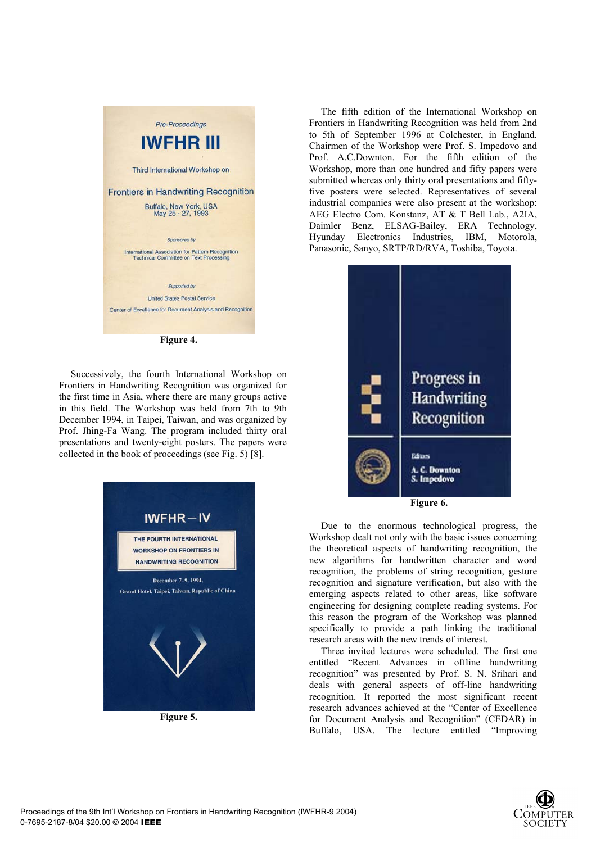

**Figure 4.**

Successively, the fourth International Workshop on Frontiers in Handwriting Recognition was organized for the first time in Asia, where there are many groups active in this field. The Workshop was held from 7th to 9th December 1994, in Taipei, Taiwan, and was organized by Prof. Jhing-Fa Wang. The program included thirty oral presentations and twenty-eight posters. The papers were collected in the book of proceedings (see Fig. 5) [8].



**Figure 5.** 

The fifth edition of the International Workshop on Frontiers in Handwriting Recognition was held from 2nd to 5th of September 1996 at Colchester, in England. Chairmen of the Workshop were Prof. S. Impedovo and Prof. A.C.Downton. For the fifth edition of the Workshop, more than one hundred and fifty papers were submitted whereas only thirty oral presentations and fiftyfive posters were selected. Representatives of several industrial companies were also present at the workshop: AEG Electro Com. Konstanz, AT & T Bell Lab., A2IA, Daimler Benz, ELSAG-Bailey, ERA Technology, Hyunday Electronics Industries, IBM, Motorola, Panasonic, Sanyo, SRTP/RD/RVA, Toshiba, Toyota.



Due to the enormous technological progress, the Workshop dealt not only with the basic issues concerning the theoretical aspects of handwriting recognition, the new algorithms for handwritten character and word recognition, the problems of string recognition, gesture recognition and signature verification, but also with the emerging aspects related to other areas, like software engineering for designing complete reading systems. For this reason the program of the Workshop was planned specifically to provide a path linking the traditional research areas with the new trends of interest.

Three invited lectures were scheduled. The first one entitled "Recent Advances in offline handwriting recognition" was presented by Prof. S. N. Srihari and deals with general aspects of off-line handwriting recognition. It reported the most significant recent research advances achieved at the "Center of Excellence for Document Analysis and Recognition" (CEDAR) in Buffalo, USA. The lecture entitled "Improving

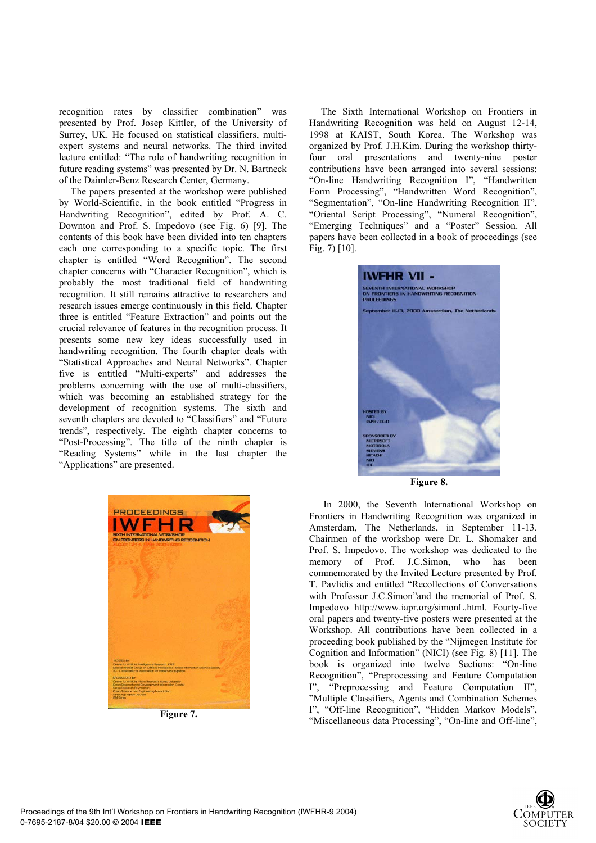recognition rates by classifier combination" was presented by Prof. Josep Kittler, of the University of Surrey, UK. He focused on statistical classifiers, multiexpert systems and neural networks. The third invited lecture entitled: "The role of handwriting recognition in future reading systems" was presented by Dr. N. Bartneck of the Daimler-Benz Research Center, Germany.

The papers presented at the workshop were published by World-Scientific, in the book entitled "Progress in Handwriting Recognition", edited by Prof. A. C. Downton and Prof. S. Impedovo (see Fig. 6) [9]. The contents of this book have been divided into ten chapters each one corresponding to a specific topic. The first chapter is entitled "Word Recognition". The second chapter concerns with "Character Recognition", which is probably the most traditional field of handwriting recognition. It still remains attractive to researchers and research issues emerge continuously in this field. Chapter three is entitled "Feature Extraction" and points out the crucial relevance of features in the recognition process. It presents some new key ideas successfully used in handwriting recognition. The fourth chapter deals with "Statistical Approaches and Neural Networks". Chapter five is entitled "Multi-experts" and addresses the problems concerning with the use of multi-classifiers, which was becoming an established strategy for the development of recognition systems. The sixth and seventh chapters are devoted to "Classifiers" and "Future trends", respectively. The eighth chapter concerns to "Post-Processing". The title of the ninth chapter is "Reading Systems" while in the last chapter the "Applications" are presented.



**Figure 7.** 

The Sixth International Workshop on Frontiers in Handwriting Recognition was held on August 12-14, 1998 at KAIST, South Korea. The Workshop was organized by Prof. J.H.Kim. During the workshop thirtyfour oral presentations and twenty-nine poster contributions have been arranged into several sessions: "On-line Handwriting Recognition I", "Handwritten Form Processing", "Handwritten Word Recognition", "Segmentation", "On-line Handwriting Recognition II", "Oriental Script Processing", "Numeral Recognition", "Emerging Techniques" and a "Poster" Session. All papers have been collected in a book of proceedings (see Fig. 7) [10].



 In 2000, the Seventh International Workshop on Frontiers in Handwriting Recognition was organized in Amsterdam, The Netherlands, in September 11-13. Chairmen of the workshop were Dr. L. Shomaker and Prof. S. Impedovo. The workshop was dedicated to the memory of Prof. J.C.Simon, who has been commemorated by the Invited Lecture presented by Prof. T. Pavlidis and entitled "Recollections of Conversations with Professor J.C.Simon"and the memorial of Prof. S. Impedovo http://www.iapr.org/simonL.html. Fourty-five oral papers and twenty-five posters were presented at the Workshop. All contributions have been collected in a proceeding book published by the "Nijmegen Institute for Cognition and Information" (NICI) (see Fig. 8) [11]. The book is organized into twelve Sections: "On-line Recognition", "Preprocessing and Feature Computation I", "Preprocessing and Feature Computation II", "Multiple Classifiers, Agents and Combination Schemes I", "Off-line Recognition", "Hidden Markov Models", "Miscellaneous data Processing", "On-line and Off-line",